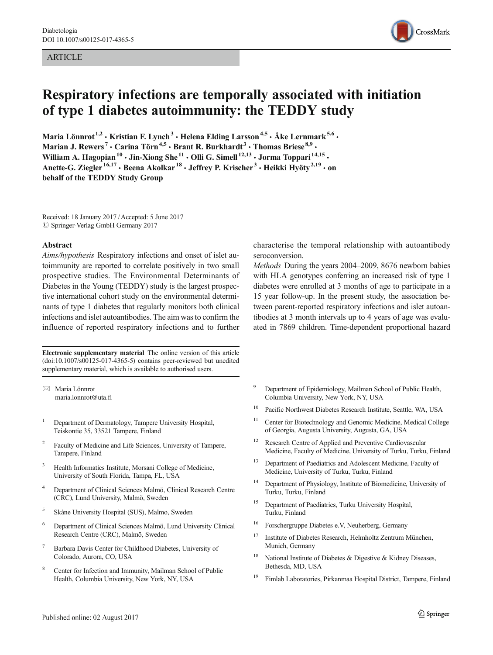#### ARTICLE



# Respiratory infections are temporally associated with initiation of type 1 diabetes autoimmunity: the TEDDY study

Maria Lönnrot $^{1,2}$  • Kristian F. Lynch $^3$  • Helena Elding Larsson $^{4,5}$  • Åke Lernmark $^{5,6}$  • Marian J. Rewers<sup>7</sup> • Carina Törn<sup>4,5</sup> • Brant R. Burkhardt $^3$  • Thomas Briese $^{8,9}$  • William A. Hagopian  $^{10}$   $\cdot$  Jin-Xiong She  $^{11}$   $\cdot$  Olli G. Simell  $^{12,13}$   $\cdot$  Jorma Toppari  $^{14,15}$   $\cdot$ Anette-G. Ziegler<sup>16,17</sup> • Beena Akolkar<sup>18</sup> • Jeffrey P. Krischer<sup>3</sup> • Heikki Hyöty<sup>2,19</sup> • on behalf of the TEDDY Study Group

Received: 18 January 2017 /Accepted: 5 June 2017  $\oslash$  Springer-Verlag GmbH Germany 2017

#### Abstract

Aims/hypothesis Respiratory infections and onset of islet autoimmunity are reported to correlate positively in two small prospective studies. The Environmental Determinants of Diabetes in the Young (TEDDY) study is the largest prospective international cohort study on the environmental determinants of type 1 diabetes that regularly monitors both clinical infections and islet autoantibodies. The aim was to confirm the influence of reported respiratory infections and to further

Electronic supplementary material The online version of this article (doi[:10.1007/s00125-017-4365-5\)](http://dx.doi.org/10.1007/s00125-017-4365-5) contains peer-reviewed but unedited supplementary material, which is available to authorised users.

 $\boxtimes$  Maria Lönnrot [maria.lonnrot@uta.fi](mailto:maria.lonnrot@uta.fi)

- <sup>1</sup> Department of Dermatology, Tampere University Hospital, Teiskontie 35, 33521 Tampere, Finland
- Faculty of Medicine and Life Sciences, University of Tampere, Tampere, Finland
- <sup>3</sup> Health Informatics Institute, Morsani College of Medicine, University of South Florida, Tampa, FL, USA
- <sup>4</sup> Department of Clinical Sciences Malmö, Clinical Research Centre (CRC), Lund University, Malmö, Sweden
- <sup>5</sup> Skåne University Hospital (SUS), Malmo, Sweden
- <sup>6</sup> Department of Clinical Sciences Malmö, Lund University Clinical Research Centre (CRC), Malmö, Sweden
- <sup>7</sup> Barbara Davis Center for Childhood Diabetes, University of Colorado, Aurora, CO, USA
- Center for Infection and Immunity, Mailman School of Public Health, Columbia University, New York, NY, USA

characterise the temporal relationship with autoantibody seroconversion.

Methods During the years 2004–2009, 8676 newborn babies with HLA genotypes conferring an increased risk of type 1 diabetes were enrolled at 3 months of age to participate in a 15 year follow-up. In the present study, the association between parent-reported respiratory infections and islet autoantibodies at 3 month intervals up to 4 years of age was evaluated in 7869 children. Time-dependent proportional hazard

- Department of Epidemiology, Mailman School of Public Health, Columbia University, New York, NY, USA
- <sup>10</sup> Pacific Northwest Diabetes Research Institute, Seattle, WA, USA
- <sup>11</sup> Center for Biotechnology and Genomic Medicine, Medical College of Georgia, Augusta University, Augusta, GA, USA
- <sup>12</sup> Research Centre of Applied and Preventive Cardiovascular Medicine, Faculty of Medicine, University of Turku, Turku, Finland
- <sup>13</sup> Department of Paediatrics and Adolescent Medicine, Faculty of Medicine, University of Turku, Turku, Finland
- <sup>14</sup> Department of Physiology, Institute of Biomedicine, University of Turku, Turku, Finland
- <sup>15</sup> Department of Paediatrics, Turku University Hospital, Turku, Finland
- <sup>16</sup> Forschergruppe Diabetes e.V, Neuherberg, Germany
- <sup>17</sup> Institute of Diabetes Research, Helmholtz Zentrum München, Munich, Germany
- <sup>18</sup> National Institute of Diabetes & Digestive & Kidney Diseases, Bethesda, MD, USA
- <sup>19</sup> Fimlab Laboratories, Pirkanmaa Hospital District, Tampere, Finland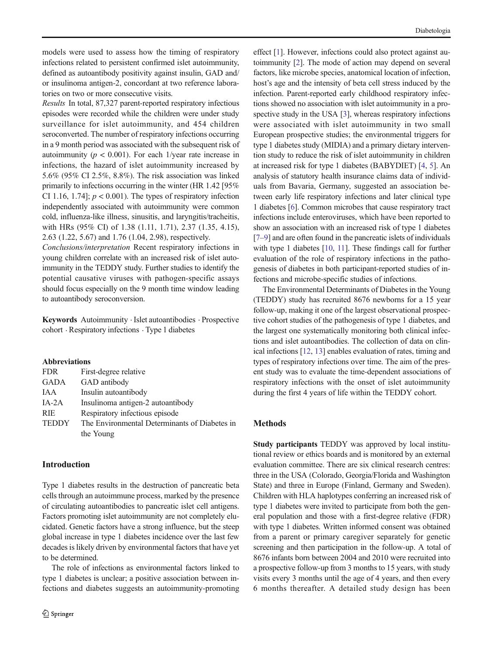models were used to assess how the timing of respiratory infections related to persistent confirmed islet autoimmunity, defined as autoantibody positivity against insulin, GAD and/ or insulinoma antigen-2, concordant at two reference laboratories on two or more consecutive visits.

Results In total, 87,327 parent-reported respiratory infectious episodes were recorded while the children were under study surveillance for islet autoimmunity, and 454 children seroconverted. The number of respiratory infections occurring in a 9 month period was associated with the subsequent risk of autoimmunity ( $p < 0.001$ ). For each 1/year rate increase in infections, the hazard of islet autoimmunity increased by 5.6% (95% CI 2.5%, 8.8%). The risk association was linked primarily to infections occurring in the winter (HR 1.42 [95% CI 1.16, 1.74];  $p < 0.001$ ). The types of respiratory infection independently associated with autoimmunity were common cold, influenza-like illness, sinusitis, and laryngitis/tracheitis, with HRs (95% CI) of 1.38 (1.11, 1.71), 2.37 (1.35, 4.15), 2.63 (1.22, 5.67) and 1.76 (1.04, 2.98), respectively.

Conclusions/interpretation Recent respiratory infections in young children correlate with an increased risk of islet autoimmunity in the TEDDY study. Further studies to identify the potential causative viruses with pathogen-specific assays should focus especially on the 9 month time window leading to autoantibody seroconversion.

Keywords Autoimmunity . Islet autoantibodies . Prospective cohort . Respiratory infections . Type 1 diabetes

#### Abbreviations

| <b>FDR</b>   | First-degree relative                         |
|--------------|-----------------------------------------------|
| <b>GADA</b>  | GAD antibody                                  |
| IAA          | Insulin autoantibody                          |
| $IA-2A$      | Insulinoma antigen-2 autoantibody             |
| <b>RIE</b>   | Respiratory infectious episode                |
| <b>TEDDY</b> | The Environmental Determinants of Diabetes in |
|              | the Young                                     |

### Introduction

Type 1 diabetes results in the destruction of pancreatic beta cells through an autoimmune process, marked by the presence of circulating autoantibodies to pancreatic islet cell antigens. Factors promoting islet autoimmunity are not completely elucidated. Genetic factors have a strong influence, but the steep global increase in type 1 diabetes incidence over the last few decades is likely driven by environmental factors that have yet to be determined.

The role of infections as environmental factors linked to type 1 diabetes is unclear; a positive association between infections and diabetes suggests an autoimmunity-promoting

effect [[1\]](#page-8-0). However, infections could also protect against autoimmunity [[2\]](#page-8-0). The mode of action may depend on several factors, like microbe species, anatomical location of infection, host's age and the intensity of beta cell stress induced by the infection. Parent-reported early childhood respiratory infections showed no association with islet autoimmunity in a prospective study in the USA [\[3](#page-8-0)], whereas respiratory infections were associated with islet autoimmunity in two small European prospective studies; the environmental triggers for type 1 diabetes study (MIDIA) and a primary dietary intervention study to reduce the risk of islet autoimmunity in children at increased risk for type 1 diabetes (BABYDIET) [\[4,](#page-8-0) [5\]](#page-8-0). An analysis of statutory health insurance claims data of individuals from Bavaria, Germany, suggested an association between early life respiratory infections and later clinical type 1 diabetes [\[6](#page-8-0)]. Common microbes that cause respiratory tract infections include enteroviruses, which have been reported to show an association with an increased risk of type 1 diabetes [\[7](#page-8-0)–[9\]](#page-8-0) and are often found in the pancreatic islets of individuals with type 1 diabetes [\[10](#page-8-0), [11](#page-8-0)]. These findings call for further evaluation of the role of respiratory infections in the pathogenesis of diabetes in both participant-reported studies of infections and microbe-specific studies of infections.

The Environmental Determinants of Diabetes in the Young (TEDDY) study has recruited 8676 newborns for a 15 year follow-up, making it one of the largest observational prospective cohort studies of the pathogenesis of type 1 diabetes, and the largest one systematically monitoring both clinical infections and islet autoantibodies. The collection of data on clinical infections [[12](#page-8-0), [13\]](#page-8-0) enables evaluation of rates, timing and types of respiratory infections over time. The aim of the present study was to evaluate the time-dependent associations of respiratory infections with the onset of islet autoimmunity during the first 4 years of life within the TEDDY cohort.

## Methods

Study participants TEDDY was approved by local institutional review or ethics boards and is monitored by an external evaluation committee. There are six clinical research centres: three in the USA (Colorado, Georgia/Florida and Washington State) and three in Europe (Finland, Germany and Sweden). Children with HLA haplotypes conferring an increased risk of type 1 diabetes were invited to participate from both the general population and those with a first-degree relative (FDR) with type 1 diabetes. Written informed consent was obtained from a parent or primary caregiver separately for genetic screening and then participation in the follow-up. A total of 8676 infants born between 2004 and 2010 were recruited into a prospective follow-up from 3 months to 15 years, with study visits every 3 months until the age of 4 years, and then every 6 months thereafter. A detailed study design has been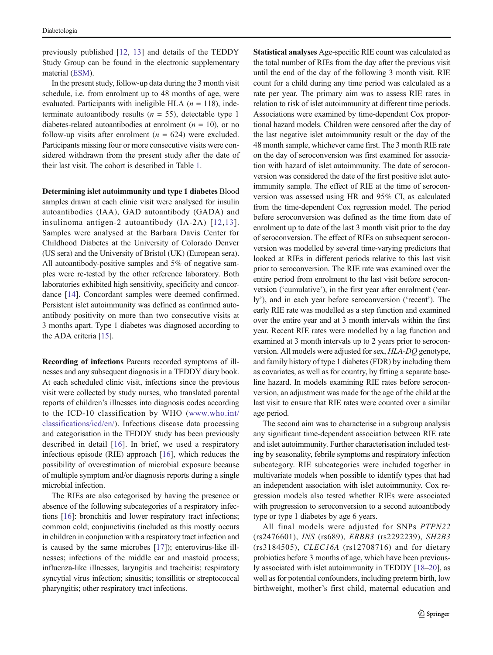previously published [\[12](#page-8-0), [13\]](#page-8-0) and details of the TEDDY Study Group can be found in the electronic supplementary material (ESM).

In the present study, follow-up data during the 3 month visit schedule, i.e. from enrolment up to 48 months of age, were evaluated. Participants with ineligible HLA ( $n = 118$ ), indeterminate autoantibody results ( $n = 55$ ), detectable type 1 diabetes-related autoantibodies at enrolment  $(n = 10)$ , or no follow-up visits after enrolment ( $n = 624$ ) were excluded. Participants missing four or more consecutive visits were considered withdrawn from the present study after the date of their last visit. The cohort is described in Table [1.](#page-3-0)

Determining islet autoimmunity and type 1 diabetes Blood samples drawn at each clinic visit were analysed for insulin autoantibodies (IAA), GAD autoantibody (GADA) and insulinoma antigen-2 autoantibody (IA-2A) [[12,13\]](#page-8-0). Samples were analysed at the Barbara Davis Center for Childhood Diabetes at the University of Colorado Denver (US sera) and the University of Bristol (UK) (European sera). All autoantibody-positive samples and 5% of negative samples were re-tested by the other reference laboratory. Both laboratories exhibited high sensitivity, specificity and concordance [\[14\]](#page-8-0). Concordant samples were deemed confirmed. Persistent islet autoimmunity was defined as confirmed autoantibody positivity on more than two consecutive visits at 3 months apart. Type 1 diabetes was diagnosed according to the ADA criteria [\[15\]](#page-8-0).

Recording of infections Parents recorded symptoms of illnesses and any subsequent diagnosis in a TEDDY diary book. At each scheduled clinic visit, infections since the previous visit were collected by study nurses, who translated parental reports of children's illnesses into diagnosis codes according to the ICD-10 classification by WHO ([www.who.int/](http://www.who.int/classifications/icd/en) [classifications/icd/en/](http://www.who.int/classifications/icd/en)). Infectious disease data processing and categorisation in the TEDDY study has been previously described in detail [\[16\]](#page-8-0). In brief, we used a respiratory infectious episode (RIE) approach [\[16](#page-8-0)], which reduces the possibility of overestimation of microbial exposure because of multiple symptom and/or diagnosis reports during a single microbial infection.

The RIEs are also categorised by having the presence or absence of the following subcategories of a respiratory infections [[16\]](#page-8-0): bronchitis and lower respiratory tract infections; common cold; conjunctivitis (included as this mostly occurs in children in conjunction with a respiratory tract infection and is caused by the same microbes [[17\]](#page-8-0)); enterovirus-like illnesses; infections of the middle ear and mastoid process; influenza-like illnesses; laryngitis and tracheitis; respiratory syncytial virus infection; sinusitis; tonsillitis or streptococcal pharyngitis; other respiratory tract infections.

Statistical analyses Age-specific RIE count was calculated as the total number of RIEs from the day after the previous visit until the end of the day of the following 3 month visit. RIE count for a child during any time period was calculated as a rate per year. The primary aim was to assess RIE rates in relation to risk of islet autoimmunity at different time periods. Associations were examined by time-dependent Cox proportional hazard models. Children were censored after the day of the last negative islet autoimmunity result or the day of the 48 month sample, whichever came first. The 3 month RIE rate on the day of seroconversion was first examined for association with hazard of islet autoimmunity. The date of seroconversion was considered the date of the first positive islet autoimmunity sample. The effect of RIE at the time of seroconversion was assessed using HR and 95% CI, as calculated from the time-dependent Cox regression model. The period before seroconversion was defined as the time from date of enrolment up to date of the last 3 month visit prior to the day of seroconversion. The effect of RIEs on subsequent seroconversion was modelled by several time-varying predictors that looked at RIEs in different periods relative to this last visit prior to seroconversion. The RIE rate was examined over the entire period from enrolment to the last visit before seroconversion ('cumulative'), in the first year after enrolment ('early'), and in each year before seroconversion ('recent'). The early RIE rate was modelled as a step function and examined over the entire year and at 3 month intervals within the first year. Recent RIE rates were modelled by a lag function and examined at 3 month intervals up to 2 years prior to seroconversion. All models were adjusted for sex, HLA-DQ genotype, and family history of type 1 diabetes (FDR) by including them as covariates, as well as for country, by fitting a separate baseline hazard. In models examining RIE rates before seroconversion, an adjustment was made for the age of the child at the last visit to ensure that RIE rates were counted over a similar age period.

The second aim was to characterise in a subgroup analysis any significant time-dependent association between RIE rate and islet autoimmunity. Further characterisation included testing by seasonality, febrile symptoms and respiratory infection subcategory. RIE subcategories were included together in multivariate models when possible to identify types that had an independent association with islet autoimmunity. Cox regression models also tested whether RIEs were associated with progression to seroconversion to a second autoantibody type or type 1 diabetes by age 6 years.

All final models were adjusted for SNPs PTPN22 (rs2476601), INS (rs689), ERBB3 (rs2292239), SH2B3 (rs3184505), CLEC16A (rs12708716) and for dietary probiotics before 3 months of age, which have been previously associated with islet autoimmunity in TEDDY [\[18](#page-8-0)–[20\]](#page-8-0), as well as for potential confounders, including preterm birth, low birthweight, mother's first child, maternal education and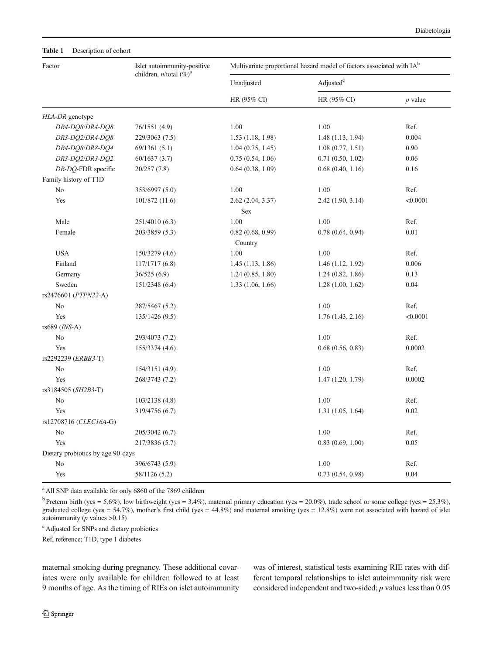<span id="page-3-0"></span>

| Factor                            | Islet autoimmunity-positive   | Multivariate proportional hazard model of factors associated with IA <sup>b</sup> |                       |           |
|-----------------------------------|-------------------------------|-----------------------------------------------------------------------------------|-----------------------|-----------|
|                                   | children, $n$ /total $(\%)^a$ | Unadjusted                                                                        | Adjusted <sup>c</sup> |           |
|                                   |                               | HR (95% CI)                                                                       | HR (95% CI)           | $p$ value |
| HLA-DR genotype                   |                               |                                                                                   |                       |           |
| DR4-DQ8/DR4-DQ8                   | 76/1551 (4.9)                 | 1.00                                                                              | 1.00                  | Ref.      |
| DR3-DQ2/DR4-DQ8                   | 229/3063 (7.5)                | 1.53(1.18, 1.98)                                                                  | 1.48(1.13, 1.94)      | 0.004     |
| DR4-DQ8/DR8-DQ4                   | 69/1361(5.1)                  | 1.04(0.75, 1.45)                                                                  | 1.08(0.77, 1.51)      | 0.90      |
| DR3-DQ2/DR3-DQ2                   | 60/1637(3.7)                  | 0.75(0.54, 1.06)                                                                  | 0.71(0.50, 1.02)      | 0.06      |
| DR-DQ-FDR specific                | 20/257(7.8)                   | 0.64(0.38, 1.09)                                                                  | 0.68(0.40, 1.16)      | 0.16      |
| Family history of T1D             |                               |                                                                                   |                       |           |
| N <sub>o</sub>                    | 353/6997 (5.0)                | 1.00                                                                              | 1.00                  | Ref.      |
| Yes                               | 101/872 (11.6)                | 2.62 (2.04, 3.37)                                                                 | 2.42 (1.90, 3.14)     | < 0.0001  |
|                                   |                               | Sex                                                                               |                       |           |
| Male                              | 251/4010 (6.3)                | 1.00                                                                              | 1.00                  | Ref.      |
| Female                            | 203/3859 (5.3)                | 0.82(0.68, 0.99)                                                                  | 0.78(0.64, 0.94)      | 0.01      |
|                                   |                               | Country                                                                           |                       |           |
| <b>USA</b>                        | 150/3279 (4.6)                | 1.00                                                                              | 1.00                  | Ref.      |
| Finland                           | 117/1717(6.8)                 | 1.45(1.13, 1.86)                                                                  | 1.46(1.12, 1.92)      | 0.006     |
| Germany                           | 36/525(6.9)                   | 1.24(0.85, 1.80)                                                                  | 1.24(0.82, 1.86)      | 0.13      |
| Sweden                            | 151/2348 (6.4)                | 1.33(1.06, 1.66)                                                                  | 1.28(1.00, 1.62)      | 0.04      |
| rs2476601 (PTPN22-A)              |                               |                                                                                   |                       |           |
| No                                | 287/5467 (5.2)                |                                                                                   | 1.00                  | Ref.      |
| Yes                               | 135/1426(9.5)                 |                                                                                   | 1.76(1.43, 2.16)      | < 0.0001  |
| rs689 (INS-A)                     |                               |                                                                                   |                       |           |
| No                                | 293/4073 (7.2)                |                                                                                   | 1.00                  | Ref.      |
| Yes                               | 155/3374 (4.6)                |                                                                                   | 0.68(0.56, 0.83)      | 0.0002    |
| rs2292239 (ERBB3-T)               |                               |                                                                                   |                       |           |
| N <sub>0</sub>                    | 154/3151 (4.9)                |                                                                                   | 1.00                  | Ref.      |
| Yes                               | 268/3743 (7.2)                |                                                                                   | 1.47(1.20, 1.79)      | 0.0002    |
| rs3184505 (SH2B3-T)               |                               |                                                                                   |                       |           |
| No                                | 103/2138 (4.8)                |                                                                                   | 1.00                  | Ref.      |
| Yes                               | 319/4756 (6.7)                |                                                                                   | 1.31(1.05, 1.64)      | 0.02      |
| rs12708716 (CLEC16A-G)            |                               |                                                                                   |                       |           |
| N <sub>0</sub>                    | 205/3042 (6.7)                |                                                                                   | 1.00                  | Ref.      |
| Yes                               | 217/3836 (5.7)                |                                                                                   | 0.83(0.69, 1.00)      | 0.05      |
| Dietary probiotics by age 90 days |                               |                                                                                   |                       |           |
| No                                | 396/6743 (5.9)                |                                                                                   | $1.00\,$              | Ref.      |
| Yes                               | 58/1126 (5.2)                 |                                                                                   | 0.73(0.54, 0.98)      | 0.04      |

<sup>a</sup> All SNP data available for only 6860 of the 7869 children

<sup>b</sup> Preterm birth (yes = 5.6%), low birthweight (yes = 3.4%), maternal primary education (yes = 20.0%), trade school or some college (yes = 25.3%), graduated college (yes = 54.7%), mother's first child (yes = 44.8%) and maternal smoking (yes = 12.8%) were not associated with hazard of islet autoimmunity ( $p$  values  $>0.15$ )

c Adjusted for SNPs and dietary probiotics

Ref, reference; T1D, type 1 diabetes

maternal smoking during pregnancy. These additional covariates were only available for children followed to at least 9 months of age. As the timing of RIEs on islet autoimmunity was of interest, statistical tests examining RIE rates with different temporal relationships to islet autoimmunity risk were considered independent and two-sided;  $p$  values less than  $0.05$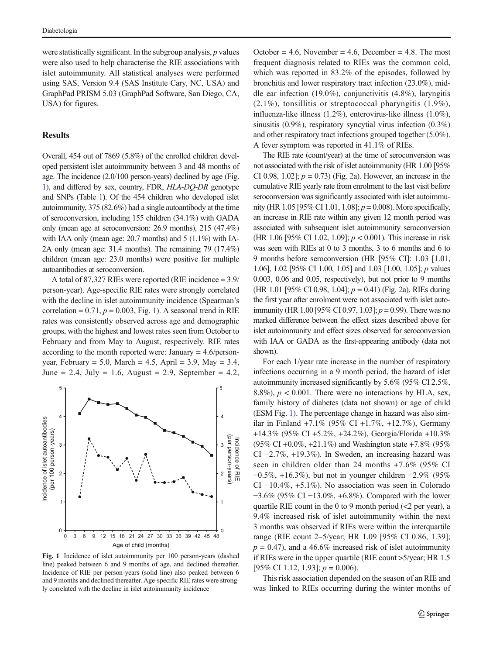were statistically significant. In the subgroup analysis,  $p$  values were also used to help characterise the RIE associations with islet autoimmunity. All statistical analyses were performed using SAS, Version 9.4 (SAS Institute Cary, NC, USA) and GraphPad PRISM 5.03 (GraphPad Software, San Diego, CA, USA) for figures.

### **Results**

Overall, 454 out of 7869 (5.8%) of the enrolled children developed persistent islet autoimmunity between 3 and 48 months of age. The incidence (2.0/100 person-years) declined by age (Fig. 1), and differed by sex, country, FDR, HLA-DQ-DR genotype and SNPs (Table [1](#page-3-0)). Of the 454 children who developed islet autoimmunity, 375 (82.6%) had a single autoantibody at the time of seroconversion, including 155 children (34.1%) with GADA only (mean age at seroconversion: 26.9 months), 215 (47.4%) with IAA only (mean age: 20.7 months) and 5 (1.1%) with IA-2A only (mean age: 31.4 months). The remaining 79 (17.4%) children (mean age: 23.0 months) were positive for multiple autoantibodies at seroconversion.

A total of 87,327 RIEs were reported (RIE incidence = 3.9/ person-year). Age-specific RIE rates were strongly correlated with the decline in islet autoimmunity incidence (Spearman's correlation =  $0.71$ ,  $p = 0.003$ , Fig. 1). A seasonal trend in RIE rates was consistently observed across age and demographic groups, with the highest and lowest rates seen from October to February and from May to August, respectively. RIE rates according to the month reported were: January = 4.6/personyear, February = 5.0, March = 4.5, April = 3.9, May = 3.4, June = 2.4, July = 1.6, August = 2.9, September = 4.2,



Fig. 1 Incidence of islet autoimmunity per 100 person-years (dashed line) peaked between 6 and 9 months of age, and declined thereafter. Incidence of RIE per person-years (solid line) also peaked between 6 and 9 months and declined thereafter. Age-specific RIE rates were strongly correlated with the decline in islet autoimmunity incidence

October = 4.6, November = 4.6, December = 4.8. The most frequent diagnosis related to RIEs was the common cold, which was reported in 83.2% of the episodes, followed by bronchitis and lower respiratory tract infection (23.0%), middle ear infection (19.0%), conjunctivitis (4.8%), laryngitis (2.1%), tonsillitis or streptococcal pharyngitis (1.9%), influenza-like illness (1.2%), enterovirus-like illness (1.0%), sinusitis (0.9%), respiratory syncytial virus infection (0.3%) and other respiratory tract infections grouped together (5.0%). A fever symptom was reported in 41.1% of RIEs.

The RIE rate (count/year) at the time of seroconversion was not associated with the risk of islet autoimmunity (HR 1.00 [95% CI 0.98, 1.0[2](#page-5-0)];  $p = 0.73$  (Fig. 2a). However, an increase in the cumulative RIE yearly rate from enrolment to the last visit before seroconversion was significantly associated with islet autoimmunity (HR 1.05 [95% CI 1.01, 1.08];  $p = 0.008$ ). More specifically, an increase in RIE rate within any given 12 month period was associated with subsequent islet autoimmunity seroconversion (HR 1.06 [95% CI 1.02, 1.09];  $p < 0.001$ ). This increase in risk was seen with RIEs at 0 to 3 months, 3 to 6 months and 6 to 9 months before seroconversion (HR [95% CI]: 1.03 [1.01, 1.06], 1.02 [95% CI 1.00, 1.05] and 1.03 [1.00, 1.05]; p values 0.003, 0.06 and 0.05, respectively), but not prior to 9 months (HR 1.01 [95% CI 0.98, 1.04];  $p = 0.41$ ) (Fig. [2a](#page-5-0)). RIEs during the first year after enrolment were not associated with islet autoimmunity (HR 1.00 [95% CI 0.97, 1.03];  $p = 0.99$ ). There was no marked difference between the effect sizes described above for islet autoimmunity and effect sizes observed for seroconversion with IAA or GADA as the first-appearing antibody (data not shown).

For each 1/year rate increase in the number of respiratory infections occurring in a 9 month period, the hazard of islet autoimmunity increased significantly by 5.6% (95% CI 2.5%, 8.8%),  $p < 0.001$ . There were no interactions by HLA, sex, family history of diabetes (data not shown) or age of child (ESM Fig. 1). The percentage change in hazard was also similar in Finland +7.1% (95% CI +1.7%, +12.7%), Germany +14.3% (95% CI +5.2%, +24.2%), Georgia/Florida +10.3% (95% CI +0.0%, +21.1%) and Washington state +7.8% (95% CI −2.7%, +19.3%). In Sweden, an increasing hazard was seen in children older than 24 months +7.6% (95% CI −0.5%, +16.3%), but not in younger children −2.9% (95% CI −10.4%, +5.1%). No association was seen in Colorado −3.6% (95% CI −13.0%, +6.8%). Compared with the lower quartile RIE count in the 0 to 9 month period  $\langle$  2 per year), a 9.4% increased risk of islet autoimmunity within the next 3 months was observed if RIEs were within the interquartile range (RIE count 2–5/year; HR 1.09 [95% CI 0.86, 1.39];  $p = 0.47$ ), and a 46.6% increased risk of islet autoimmunity if RIEs were in the upper quartile (RIE count >5/year; HR 1.5 [95% CI 1.12, 1.93];  $p = 0.006$ ).

This risk association depended on the season of an RIE and was linked to RIEs occurring during the winter months of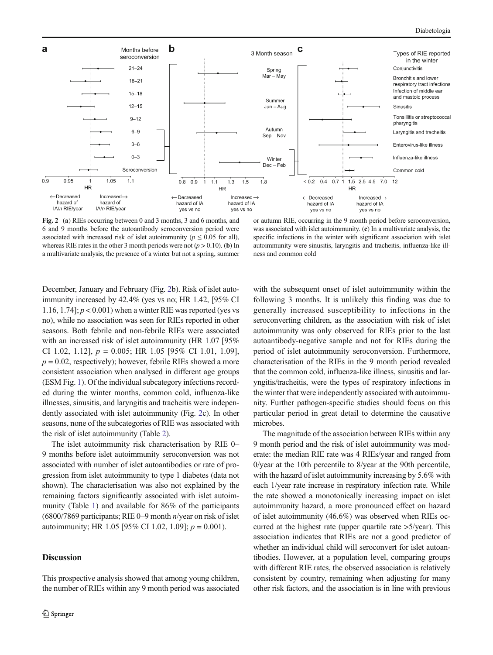<span id="page-5-0"></span>

Fig. 2 (a) RIEs occurring between 0 and 3 months, 3 and 6 months, and 6 and 9 months before the autoantibody seroconversion period were associated with increased risk of islet autoimmunity ( $p \leq 0.05$  for all), whereas RIE rates in the other 3 month periods were not  $(p > 0.10)$ . (b) In a multivariate analysis, the presence of a winter but not a spring, summer

or autumn RIE, occurring in the 9 month period before seroconversion, was associated with islet autoimmunity. (c) In a multivariate analysis, the specific infections in the winter with significant association with islet autoimmunity were sinusitis, laryngitis and tracheitis, influenza-like illness and common cold

December, January and February (Fig. 2b). Risk of islet autoimmunity increased by 42.4% (yes vs no; HR 1.42, [95% CI 1.16, 1.74];  $p < 0.001$ ) when a winter RIE was reported (yes vs no), while no association was seen for RIEs reported in other seasons. Both febrile and non-febrile RIEs were associated with an increased risk of islet autoimmunity (HR 1.07 [95% CI 1.02, 1.12],  $p = 0.005$ ; HR 1.05 [95% CI 1.01, 1.09],  $p = 0.02$ , respectively); however, febrile RIEs showed a more consistent association when analysed in different age groups (ESM Fig. 1). Of the individual subcategory infections recorded during the winter months, common cold, influenza-like illnesses, sinusitis, and laryngitis and tracheitis were independently associated with islet autoimmunity (Fig. 2c). In other seasons, none of the subcategories of RIE was associated with the risk of islet autoimmunity (Table [2\)](#page-6-0).

The islet autoimmunity risk characterisation by RIE 0– 9 months before islet autoimmunity seroconversion was not associated with number of islet autoantibodies or rate of progression from islet autoimmunity to type 1 diabetes (data not shown). The characterisation was also not explained by the remaining factors significantly associated with islet autoimmunity (Table [1\)](#page-3-0) and available for 86% of the participants (6800/7869 participants; RIE 0–9 month n/year on risk of islet autoimmunity; HR 1.05 [95% CI 1.02, 1.09];  $p = 0.001$ ).

## Discussion

This prospective analysis showed that among young children, the number of RIEs within any 9 month period was associated with the subsequent onset of islet autoimmunity within the following 3 months. It is unlikely this finding was due to generally increased susceptibility to infections in the seroconverting children, as the association with risk of islet autoimmunity was only observed for RIEs prior to the last autoantibody-negative sample and not for RIEs during the period of islet autoimmunity seroconversion. Furthermore, characterisation of the RIEs in the 9 month period revealed that the common cold, influenza-like illness, sinusitis and laryngitis/tracheitis, were the types of respiratory infections in the winter that were independently associated with autoimmunity. Further pathogen-specific studies should focus on this particular period in great detail to determine the causative microbes.

The magnitude of the association between RIEs within any 9 month period and the risk of islet autoimmunity was moderate: the median RIE rate was 4 RIEs/year and ranged from 0/year at the 10th percentile to 8/year at the 90th percentile, with the hazard of islet autoimmunity increasing by 5.6% with each 1/year rate increase in respiratory infection rate. While the rate showed a monotonically increasing impact on islet autoimmunity hazard, a more pronounced effect on hazard of islet autoimmunity (46.6%) was observed when RIEs occurred at the highest rate (upper quartile rate >5/year). This association indicates that RIEs are not a good predictor of whether an individual child will seroconvert for islet autoantibodies. However, at a population level, comparing groups with different RIE rates, the observed association is relatively consistent by country, remaining when adjusting for many other risk factors, and the association is in line with previous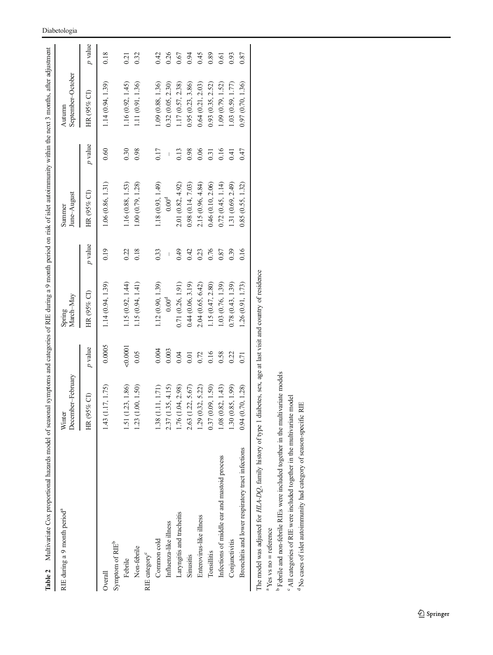| Table 2 Multivariate Cox proportional hazards model of seasonal symptoms and categories of RIE during a 9 month period on risk of islet autoimmunity within the next 3 months, after adjustment |                             |           |                     |           |                       |           |                             |           |
|-------------------------------------------------------------------------------------------------------------------------------------------------------------------------------------------------|-----------------------------|-----------|---------------------|-----------|-----------------------|-----------|-----------------------------|-----------|
| RIE during a 9 month period <sup>a</sup>                                                                                                                                                        | December-February<br>Winter |           | March-May<br>Spring |           | June-August<br>Summer |           | September-October<br>Autumn |           |
|                                                                                                                                                                                                 | 95% CI)<br>$\breve{\Xi}$    | $p$ value | HR (95% CI)         | $p$ value | HR (95% CI)           | $p$ value | HR (95% CI)                 | $p$ value |
| Overall                                                                                                                                                                                         | 1.43 (1.17, 1.75)           | 0.0005    | 1.14(0.94, 1.39)    | 0.19      | 1.06(0.86, 1.31)      | 0.60      | 1.14(0.94, 1.39)            | 0.18      |
| Symptom of RIE <sup>b</sup>                                                                                                                                                                     |                             |           |                     |           |                       |           |                             |           |
| Febrile                                                                                                                                                                                         | (1.23, 1.86)<br>1.51        | 0.0001    | 1.15(0.92, 1.44)    | 0.22      | 1.16 (0.88, 1.53)     | 0.30      | 1.16 (0.92, 1.45)           | 0.21      |
| Non-febrile                                                                                                                                                                                     | (1.00, 1.50)<br>1.23        | 0.05      | 1.15(0.94, 1.41)    | 0.18      | 1.00(0.79, 1.28)      | 0.98      | 1.11 (0.91, 1.36)           | 0.32      |
| RIE category <sup>c</sup>                                                                                                                                                                       |                             |           |                     |           |                       |           |                             |           |
| Common cold                                                                                                                                                                                     | 1.38 (1.11, 1.71)           | 0.004     | 1.12 (0.90, 1.39)   | 0.33      | 1.18 (0.93, 1.49)     | 0.17      | 1.09 (0.88, 1.36)           | 0.42      |
| Influenza-like illness                                                                                                                                                                          | (1.35, 4.15)<br>2.37        | 0.003     | $0.00^{\text{d}}$   |           | $0.00^{\text{d}}$     |           | 0.32(0.05, 2.30)            | 0.26      |
| Laryngitis and tracheitis                                                                                                                                                                       | 1.76 (1.04, 2.98)           | 0.04      | 0.71(0.26, 1.91)    | 64.0      | 2.01 (0.82, 4.92)     | 0.13      | 1.17(0.57, 2.38)            | 0.67      |
| Sinusitis                                                                                                                                                                                       | (1.22, 5.67)<br>2.63        | 0.01      | 0.44(0.06, 3.19)    | 0.42      | 0.98(0.14, 7.03)      | 0.98      | 0.95(0.23, 3.86)            | 0.94      |
| Enterovirus-like illness                                                                                                                                                                        | 1.29 (0.32, 5.22)           | 0.72      | 2.04 (0.65, 6.42)   | 0.23      | 2.15 (0.96, 4.84)     | 0.06      | 0.64(0.21, 2.03)            | 0.45      |
| Tonsillitis                                                                                                                                                                                     | 0.37(0.09, 1.50)            | 0.16      | 1.15 (0.47, 2.80)   | 0.76      | 0.46 (0.10, 2.06)     | 0.31      | 0.93(0.35, 2.52)            | 0.89      |
| Infections of middle ear and mastoid process                                                                                                                                                    | 1.08(0.82, 1.43)            | 0.58      | 1.03 (0.76, 1.39)   | 0.87      | 0.72(0.45, 1.14)      | 0.16      | 1.09(0.79, 1.52)            | 0.61      |
| Conjunctivitis                                                                                                                                                                                  | 1.30(0.85, 1.99)            | 0.22      | 0.78(0.43, 1.39)    | 0.39      | 1.31 (0.69, 2.49)     | 0.41      | 1.03(0.59, 1.77)            | 0.93      |
| Bronchitis and lower respiratory tract infections                                                                                                                                               | (0.70, 1.28)<br>0.94        | 0.71      | 1.26(0.91, 1.73)    | 0.16      | 0.85(0.55, 1.32)      | 0.47      | 0.97(0.70, 1.36)            | 0.87      |
| The model was alweed for H A DO found of the afterness of alabour age of an anti-state of annual contractions                                                                                   |                             |           |                     |           |                       |           |                             |           |

The model was adjusted for HLA-DQ, family history of type 1 diabetes, sex, age at last visit and country of residence The model was adjusted for  $HLA-DQ$ , family history of type 1 diabetes, sex, age at last visit and country of residence

 $\frac{1}{2}$  Yes vs no = reference  $Y$ es vs no = reference

b Febrile and non-febrile RIEs were included together in the multivariate models

o <del>c</del> All categories of RIE were included together in the multivariate model

No cases of islet autoimmunity had category of season-specific RIE

## <span id="page-6-0"></span>Diabetologia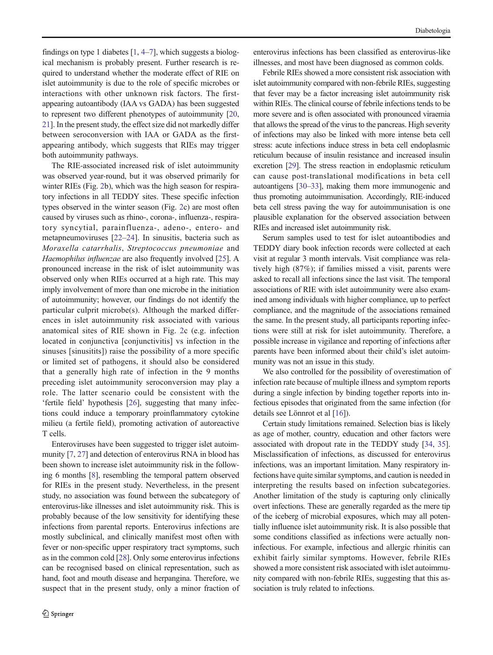findings on type 1 diabetes  $[1, 4–7]$  $[1, 4–7]$  $[1, 4–7]$  $[1, 4–7]$  $[1, 4–7]$  $[1, 4–7]$  $[1, 4–7]$ , which suggests a biological mechanism is probably present. Further research is required to understand whether the moderate effect of RIE on islet autoimmunity is due to the role of specific microbes or interactions with other unknown risk factors. The firstappearing autoantibody (IAA vs GADA) has been suggested to represent two different phenotypes of autoimmunity [[20,](#page-8-0) [21\]](#page-8-0). In the present study, the effect size did not markedly differ between seroconversion with IAA or GADA as the firstappearing antibody, which suggests that RIEs may trigger both autoimmunity pathways.

The RIE-associated increased risk of islet autoimmunity was observed year-round, but it was observed primarily for winter RIEs (Fig. [2](#page-5-0)b), which was the high season for respiratory infections in all TEDDY sites. These specific infection types observed in the winter season (Fig. [2c](#page-5-0)) are most often caused by viruses such as rhino-, corona-, influenza-, respiratory syncytial, parainfluenza-, adeno-, entero- and metapneumoviruses [[22](#page-8-0)–[24\]](#page-8-0). In sinusitis, bacteria such as Moraxella catarrhalis, Streptococcus pneumoniae and Haemophilus influenzae are also frequently involved [[25\]](#page-8-0). A pronounced increase in the risk of islet autoimmunity was observed only when RIEs occurred at a high rate. This may imply involvement of more than one microbe in the initiation of autoimmunity; however, our findings do not identify the particular culprit microbe(s). Although the marked differences in islet autoimmunity risk associated with various anatomical sites of RIE shown in Fig. [2](#page-5-0)c (e.g. infection located in conjunctiva [conjunctivitis] vs infection in the sinuses [sinusitits]) raise the possibility of a more specific or limited set of pathogens, it should also be considered that a generally high rate of infection in the 9 months preceding islet autoimmunity seroconversion may play a role. The latter scenario could be consistent with the 'fertile field' hypothesis [[26](#page-9-0)], suggesting that many infections could induce a temporary proinflammatory cytokine milieu (a fertile field), promoting activation of autoreactive T cells.

Enteroviruses have been suggested to trigger islet autoimmunity [\[7,](#page-8-0) [27](#page-9-0)] and detection of enterovirus RNA in blood has been shown to increase islet autoimmunity risk in the following 6 months [[8](#page-8-0)], resembling the temporal pattern observed for RIEs in the present study. Nevertheless, in the present study, no association was found between the subcategory of enterovirus-like illnesses and islet autoimmunity risk. This is probably because of the low sensitivity for identifying these infections from parental reports. Enterovirus infections are mostly subclinical, and clinically manifest most often with fever or non-specific upper respiratory tract symptoms, such as in the common cold [[28](#page-9-0)]. Only some enterovirus infections can be recognised based on clinical representation, such as hand, foot and mouth disease and herpangina. Therefore, we suspect that in the present study, only a minor fraction of

enterovirus infections has been classified as enterovirus-like illnesses, and most have been diagnosed as common colds.

Febrile RIEs showed a more consistent risk association with islet autoimmunity compared with non-febrile RIEs, suggesting that fever may be a factor increasing islet autoimmunity risk within RIEs. The clinical course of febrile infections tends to be more severe and is often associated with pronounced viraemia that allows the spread of the virus to the pancreas. High severity of infections may also be linked with more intense beta cell stress: acute infections induce stress in beta cell endoplasmic reticulum because of insulin resistance and increased insulin excretion [\[29\]](#page-9-0). The stress reaction in endoplasmic reticulum can cause post-translational modifications in beta cell autoantigens [\[30](#page-9-0)–[33](#page-9-0)], making them more immunogenic and thus promoting autoimmunisation. Accordingly, RIE-induced beta cell stress paving the way for autoimmunisation is one plausible explanation for the observed association between RIEs and increased islet autoimmunity risk.

Serum samples used to test for islet autoantibodies and TEDDY diary book infection records were collected at each visit at regular 3 month intervals. Visit compliance was relatively high (87%); if families missed a visit, parents were asked to recall all infections since the last visit. The temporal associations of RIE with islet autoimmunity were also examined among individuals with higher compliance, up to perfect compliance, and the magnitude of the associations remained the same. In the present study, all participants reporting infections were still at risk for islet autoimmunity. Therefore, a possible increase in vigilance and reporting of infections after parents have been informed about their child's islet autoimmunity was not an issue in this study.

We also controlled for the possibility of overestimation of infection rate because of multiple illness and symptom reports during a single infection by binding together reports into infectious episodes that originated from the same infection (for details see Lönnrot et al [\[16\]](#page-8-0)).

Certain study limitations remained. Selection bias is likely as age of mother, country, education and other factors were associated with dropout rate in the TEDDY study [\[34,](#page-9-0) [35\]](#page-9-0). Misclassification of infections, as discussed for enterovirus infections, was an important limitation. Many respiratory infections have quite similar symptoms, and caution is needed in interpreting the results based on infection subcategories. Another limitation of the study is capturing only clinically overt infections. These are generally regarded as the mere tip of the iceberg of microbial exposures, which may all potentially influence islet autoimmunity risk. It is also possible that some conditions classified as infections were actually noninfectious. For example, infectious and allergic rhinitis can exhibit fairly similar symptoms. However, febrile RIEs showed a more consistent risk associated with islet autoimmunity compared with non-febrile RIEs, suggesting that this association is truly related to infections.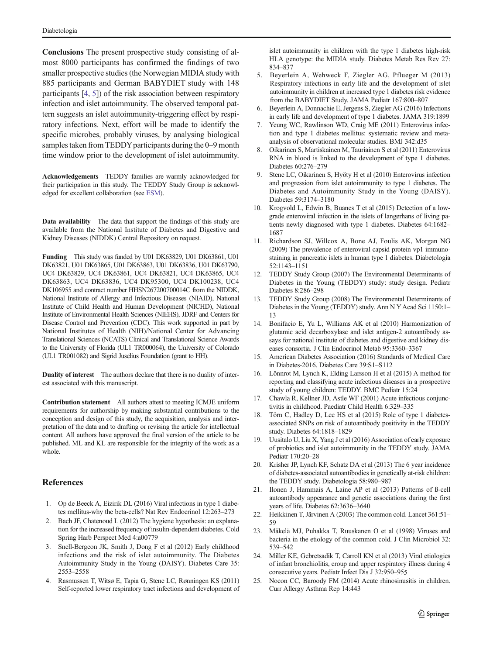<span id="page-8-0"></span>Conclusions The present prospective study consisting of almost 8000 participants has confirmed the findings of two smaller prospective studies (the Norwegian MIDIA study with 885 participants and German BABYDIET study with 148 participants [4, 5]) of the risk association between respiratory infection and islet autoimmunity. The observed temporal pattern suggests an islet autoimmunity-triggering effect by respiratory infections. Next, effort will be made to identify the specific microbes, probably viruses, by analysing biological samples taken from TEDDY participants during the 0–9 month time window prior to the development of islet autoimmunity.

Acknowledgements TEDDY families are warmly acknowledged for their participation in this study. The TEDDY Study Group is acknowledged for excellent collaboration (see ESM).

Data availability The data that support the findings of this study are available from the National Institute of Diabetes and Digestive and Kidney Diseases (NIDDK) Central Repository on request.

Funding This study was funded by U01 DK63829, U01 DK63861, U01 DK63821, U01 DK63865, U01 DK63863, U01 DK63836, U01 DK63790, UC4 DK63829, UC4 DK63861, UC4 DK63821, UC4 DK63865, UC4 DK63863, UC4 DK63836, UC4 DK95300, UC4 DK100238, UC4 DK106955 and contract number HHSN267200700014C from the NIDDK, National Institute of Allergy and Infectious Diseases (NIAID), National Institute of Child Health and Human Development (NICHD), National Institute of Environmental Health Sciences (NIEHS), JDRF and Centers for Disease Control and Prevention (CDC). This work supported in part by National Institutes of Health (NIH)/National Center for Advancing Translational Sciences (NCATS) Clinical and Translational Science Awards to the University of Florida (UL1 TR000064), the University of Colorado (UL1 TR001082) and Sigrid Juselius Foundation (grant to HH).

Duality of interest The authors declare that there is no duality of interest associated with this manuscript.

Contribution statement All authors attest to meeting ICMJE uniform requirements for authorship by making substantial contributions to the conception and design of this study, the acquisition, analysis and interpretation of the data and to drafting or revising the article for intellectual content. All authors have approved the final version of the article to be published. ML and KL are responsible for the integrity of the work as a whole.

### References

- 1. Op de Beeck A, Eizirik DL (2016) Viral infections in type 1 diabetes mellitus-why the beta-cells? Nat Rev Endocrinol 12:263–273
- 2. Bach JF, Chatenoud L (2012) The hygiene hypothesis: an explanation for the increased frequency of insulin-dependent diabetes. Cold Spring Harb Perspect Med 4:a00779
- 3. Snell-Bergeon JK, Smith J, Dong F et al (2012) Early childhood infections and the risk of islet autoimmunity. The Diabetes Autoimmunity Study in the Young (DAISY). Diabetes Care 35: 2553–2558
- 4. Rasmussen T, Witsø E, Tapia G, Stene LC, Rønningen KS (2011) Self-reported lower respiratory tract infections and development of

islet autoimmunity in children with the type 1 diabetes high-risk HLA genotype: the MIDIA study. Diabetes Metab Res Rev 27: 834–837

- 5. Beyerlein A, Wehweck F, Ziegler AG, Pflueger M (2013) Respiratory infections in early life and the development of islet autoimmunity in children at increased type 1 diabetes risk evidence from the BABYDIET Study. JAMA Pediatr 167:800–807
- 6. Beyerlein A, Donnachie E, Jergens S, Ziegler AG (2016) Infections in early life and development of type 1 diabetes. JAMA 319:1899
- 7. Yeung WC, Rawlinson WD, Craig ME (2011) Enterovirus infection and type 1 diabetes mellitus: systematic review and metaanalysis of observational molecular studies. BMJ 342:d35
- 8. Oikarinen S, Martiskainen M, Tauriainen S et al (2011) Enterovirus RNA in blood is linked to the development of type 1 diabetes. Diabetes 60:276–279
- 9. Stene LC, Oikarinen S, Hyöty H et al (2010) Enterovirus infection and progression from islet autoimmunity to type 1 diabetes. The Diabetes and Autoimmunity Study in the Young (DAISY). Diabetes 59:3174–3180
- 10. Krogvold L, Edwin B, Buanes T et al (2015) Detection of a lowgrade enteroviral infection in the islets of langerhans of living patients newly diagnosed with type 1 diabetes. Diabetes 64:1682– 1687
- 11. Richardson SJ, Willcox A, Bone AJ, Foulis AK, Morgan NG (2009) The prevalence of enteroviral capsid protein vp1 immunostaining in pancreatic islets in human type 1 diabetes. Diabetologia 52:1143–1151
- 12. TEDDY Study Group (2007) The Environmental Determinants of Diabetes in the Young (TEDDY) study: study design. Pediatr Diabetes 8:286–298
- 13. TEDDY Study Group (2008) The Environmental Determinants of Diabetes in the Young (TEDDY) study. Ann N YAcad Sci 1150:1– 13
- 14. Bonifacio E, Yu L, Williams AK et al (2010) Harmonization of glutamic acid decarboxylase and islet antigen-2 autoantibody assays for national institute of diabetes and digestive and kidney diseases consortia. J Clin Endocrinol Metab 95:3360–3367
- 15. American Diabetes Association (2016) Standards of Medical Care in Diabetes-2016. Diabetes Care 39:S1–S112
- 16. Lönnrot M, Lynch K, Elding Larsson H et al (2015) A method for reporting and classifying acute infectious diseases in a prospective study of young children: TEDDY. BMC Pediatr 15:24
- 17. Chawla R, Kellner JD, Astle WF (2001) Acute infectious conjunctivitis in childhood. Paediatr Child Health 6:329–335
- 18. Törn C, Hadley D, Lee HS et al (2015) Role of type 1 diabetesassociated SNPs on risk of autoantibody positivity in the TEDDY study. Diabetes 64:1818–1829
- 19. Uusitalo U, Liu X, Yang J et al (2016) Association of early exposure of probiotics and islet autoimmunity in the TEDDY study. JAMA Pediatr 170:20–28
- 20. Krisher JP, Lynch KF, Schatz DA et al (2013) The 6 year incidence of diabetes-associated autoantibodies in genetically at-risk children: the TEDDY study. Diabetologia 58:980–987
- 21. Ilonen J, Hammais A, Laine AP et al (2013) Patterns of ß-cell autoantibody appearance and genetic associations during the first years of life. Diabetes 62:3636–3640
- 22. Heikkinen T, Järvinen A (2003) The common cold. Lancet 361:51– 59
- 23. Mäkelä MJ, Puhakka T, Ruuskanen O et al (1998) Viruses and bacteria in the etiology of the common cold. J Clin Microbiol 32: 539–542
- 24. Miller KE, Gebretsadik T, Carroll KN et al (2013) Viral etiologies of infant bronchiolitis, croup and upper respiratory illness during 4 consecutive years. Pediatr Infect Dis J 32:950–955
- 25. Nocon CC, Baroody FM (2014) Acute rhinosinusitis in children. Curr Allergy Asthma Rep 14:443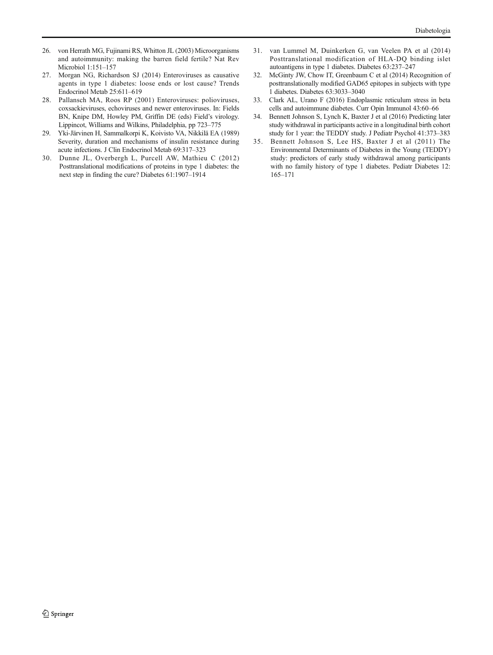- <span id="page-9-0"></span>26. von Herrath MG, Fujinami RS, Whitton JL (2003) Microorganisms and autoimmunity: making the barren field fertile? Nat Rev Microbiol 1:151–157
- 27. Morgan NG, Richardson SJ (2014) Enteroviruses as causative agents in type 1 diabetes: loose ends or lost cause? Trends Endocrinol Metab 25:611–619
- 28. Pallansch MA, Roos RP (2001) Enteroviruses: polioviruses, coxsackieviruses, echoviruses and newer enteroviruses. In: Fields BN, Knipe DM, Howley PM, Griffin DE (eds) Field's virology. Lippincot, Williams and Wilkins, Philadelphia, pp 723–775
- 29. Yki-Järvinen H, Sammalkorpi K, Koivisto VA, Nikkilä EA (1989) Severity, duration and mechanisms of insulin resistance during acute infections. J Clin Endocrinol Metab 69:317–323
- 30. Dunne JL, Overbergh L, Purcell AW, Mathieu C (2012) Posttranslational modifications of proteins in type 1 diabetes: the next step in finding the cure? Diabetes 61:1907–1914
- 31. van Lummel M, Duinkerken G, van Veelen PA et al (2014) Posttranslational modification of HLA-DQ binding islet autoantigens in type 1 diabetes. Diabetes 63:237–247
- 32. McGinty JW, Chow IT, Greenbaum C et al (2014) Recognition of posttranslationally modified GAD65 epitopes in subjects with type 1 diabetes. Diabetes 63:3033–3040
- 33. Clark AL, Urano F (2016) Endoplasmic reticulum stress in beta cells and autoimmune diabetes. Curr Opin Immunol 43:60–66
- 34. Bennett Johnson S, Lynch K, Baxter J et al (2016) Predicting later study withdrawal in participants active in a longitudinal birth cohort study for 1 year: the TEDDY study. J Pediatr Psychol 41:373–383
- 35. Bennett Johnson S, Lee HS, Baxter J et al (2011) The Environmental Determinants of Diabetes in the Young (TEDDY) study: predictors of early study withdrawal among participants with no family history of type 1 diabetes. Pediatr Diabetes 12: 165–171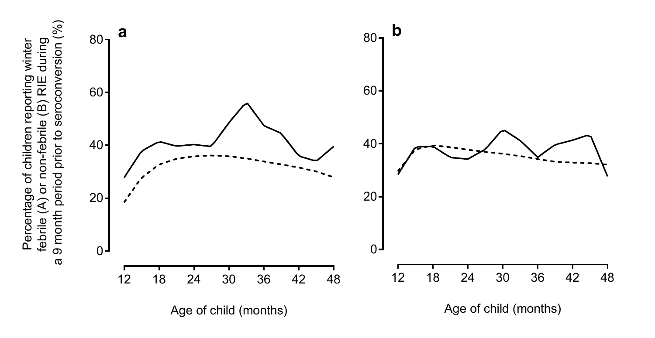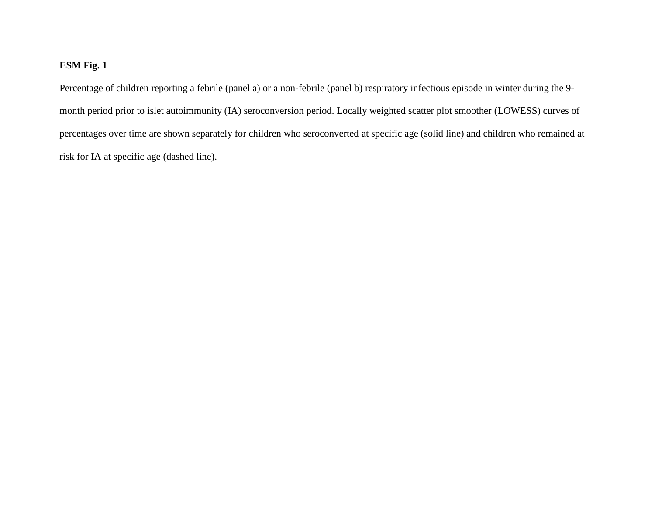## **ESM Fig. 1**

Percentage of children reporting a febrile (panel a) or a non-febrile (panel b) respiratory infectious episode in winter during the 9 month period prior to islet autoimmunity (IA) seroconversion period. Locally weighted scatter plot smoother (LOWESS) curves of percentages over time are shown separately for children who seroconverted at specific age (solid line) and children who remained at risk for IA at specific age (dashed line).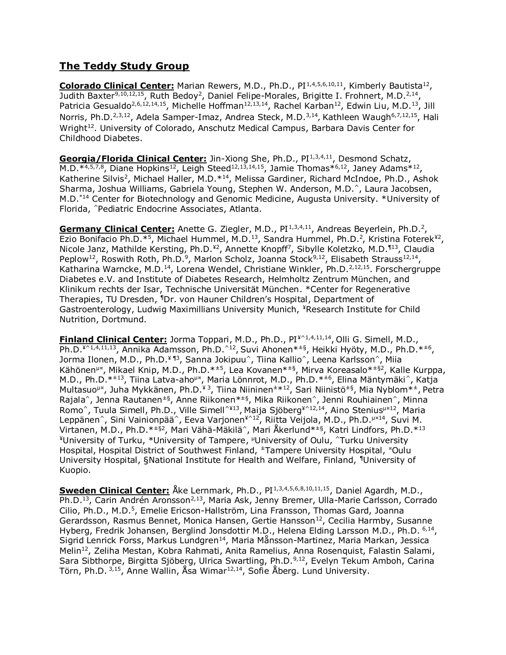## **The Teddy Study Group**

**Colorado Clinical Center:** Marian Rewers, M.D., Ph.D., PI<sup>1,4,5,6,10,11</sup>, Kimberly Bautista<sup>12</sup>, Judith Baxter<sup>9,10,12,15</sup>, Ruth Bedoy<sup>2</sup>, Daniel Felipe-Morales, Brigitte I. Frohnert, M.D.<sup>2,14</sup>, Patricia Gesualdo<sup>2,6,12,14,15</sup>, Michelle Hoffman<sup>12,13,14</sup>, Rachel Karban<sup>12</sup>, Edwin Liu, M.D.<sup>13</sup>, Jill Norris, Ph.D.<sup>2,3,12</sup>, Adela Samper-Imaz, Andrea Steck, M.D.<sup>3,14</sup>, Kathleen Waugh<sup>6,7,12,15</sup>, Hali Wright<sup>12</sup>. University of Colorado, Anschutz Medical Campus, Barbara Davis Center for Childhood Diabetes.

Georgia/Florida Clinical Center: Jin-Xiong She, Ph.D., PI<sup>1,3,4,11</sup>, Desmond Schatz, M.D. $^{*4,5,7,8}$ , Diane Hopkins<sup>12</sup>, Leigh Steed<sup>12,13,14,15</sup>, Jamie Thomas $^{*6,12}$ , Janey Adams $^{*12}$ , Katherine Silvis<sup>2</sup>, Michael Haller, M.D.<sup>\*14</sup>, Melissa Gardiner, Richard McIndoe, Ph.D., Ashok Sharma, Joshua Williams, Gabriela Young, Stephen W. Anderson, M.D.^, Laura Jacobsen, M.D.\*14 Center for Biotechnology and Genomic Medicine, Augusta University. \*University of Florida, ^Pediatric Endocrine Associates, Atlanta.

Germany Clinical Center: Anette G. Ziegler, M.D., PI<sup>1,3,4,11</sup>, Andreas Beyerlein, Ph.D.<sup>2</sup>, Ezio Bonifacio Ph.D.\*<sup>5</sup>, Michael Hummel, M.D.<sup>13</sup>, Sandra Hummel, Ph.D.<sup>2</sup>, Kristina Foterek<sup>¥2</sup>, Nicole Janz, Mathilde Kersting, Ph.D.<sup>¥2</sup>, Annette Knopff<sup>7</sup>, Sibylle Koletzko, M.D.<sup>¶13</sup>, Claudia Peplow<sup>12</sup>, Roswith Roth, Ph.D.<sup>9</sup>, Marlon Scholz, Joanna Stock<sup>9,12</sup>, Elisabeth Strauss<sup>12,14</sup>, Katharina Warncke, M.D.<sup>14</sup>, Lorena Wendel, Christiane Winkler, Ph.D.<sup>2,12,15</sup>. Forschergruppe Diabetes e.V. and Institute of Diabetes Research, Helmholtz Zentrum München, and Klinikum rechts der Isar, Technische Universität München. \*Center for Regenerative Therapies, TU Dresden, <sup>¶</sup>Dr. von Hauner Children's Hospital, Department of Gastroenterology, Ludwig Maximillians University Munich, ¥Research Institute for Child Nutrition, Dortmund.

**Finland Clinical Center:** Jorma Toppari, M.D., Ph.D., PI¥^1,4,11,14 , Olli G. Simell, M.D., Ph.D.<sup>¥^1,4,11,13</sup>, Annika Adamsson, Ph.D.^<sup>12</sup>, Suvi Ahonen\*<sup>±§</sup>, Heikki Hyöty, M.D., Ph.D.\*<sup>±6</sup>, Jorma Ilonen, M.D., Ph.D.<sup>¥ ¶3</sup>, Sanna Jokipuu^, Tiina Kallio^, Leena Karlsson^, Miia Kähönen<sup>µx</sup>, Mikael Knip, M.D., Ph.D.<sup>\*±5</sup>, Lea Kovanen<sup>\*±§</sup>, Mirva Koreasalo<sup>\*±§2</sup>, Kalle Kurppa, M.D., Ph.D.\*<sup>±13</sup>, Tiina Latva-aho<sup>µx</sup>, Maria Lönnrot, M.D., Ph.D.\*<sup>±6</sup>, Elina Mäntymäki^, Katja Multasuo<sup>µx</sup>, Juha Mykkänen, Ph.D.<sup>¥3</sup>, Tiina Niininen<sup>±\*12</sup>, Sari Niinistö<sup>±§</sup>, Mia Nyblom<sup>\*±</sup>, Petra Rajala^, Jenna Rautanen<sup>±§</sup>, Anne Riikonen<sup>\*±§</sup>, Mika Riikonen^, Jenni Rouhiainen^, Minna Romo^, Tuula Simell, Ph.D., Ville Simell^¥13, Maija Sjöberg¥^12,14, Aino Steniusµx12, Maria Leppänen^, Sini Vainionpää^, Eeva Varjonen¥^12, Riitta Veijola, M.D., Ph.D.µ¤14, Suvi M. Virtanen, M.D., Ph.D.\*±§2, Mari Vähä-Mäkilä^, Mari Åkerlund\*±§, Katri Lindfors, Ph.D.\*<sup>13</sup> ¥University of Turku, \*University of Tampere, <sup>µ</sup>University of Oulu, ^Turku University Hospital, Hospital District of Southwest Finland, <sup>±</sup>Tampere University Hospital, <sup>\*</sup>Oulu University Hospital, §National Institute for Health and Welfare, Finland, ¶University of Kuopio.

**Sweden Clinical Center:** Åke Lernmark, Ph.D., PI<sup>1,3,4,5,6,8,10,11,15</sup>, Daniel Agardh, M.D., Ph.D.<sup>13</sup>, Carin Andrén Aronsson<sup>2,13</sup>, Maria Ask, Jenny Bremer, Ulla-Marie Carlsson, Corrado Cilio, Ph.D., M.D.<sup>5</sup>, Emelie Ericson-Hallström, Lina Fransson, Thomas Gard, Joanna Gerardsson, Rasmus Bennet, Monica Hansen, Gertie Hansson<sup>12</sup>, Cecilia Harmby, Susanne Hyberg, Fredrik Johansen, Berglind Jonsdottir M.D., Helena Elding Larsson M.D., Ph.D. <sup>6,14</sup>, Sigrid Lenrick Forss, Markus Lundgren<sup>14</sup>, Maria Månsson-Martinez, Maria Markan, Jessica Melin<sup>12</sup>, Zeliha Mestan, Kobra Rahmati, Anita Ramelius, Anna Rosenquist, Falastin Salami, Sara Sibthorpe, Birgitta Sjöberg, Ulrica Swartling, Ph.D.<sup>9,12</sup>, Evelyn Tekum Amboh, Carina Törn, Ph.D. 3,15, Anne Wallin, Åsa Wimar12,14, Sofie Åberg. Lund University.